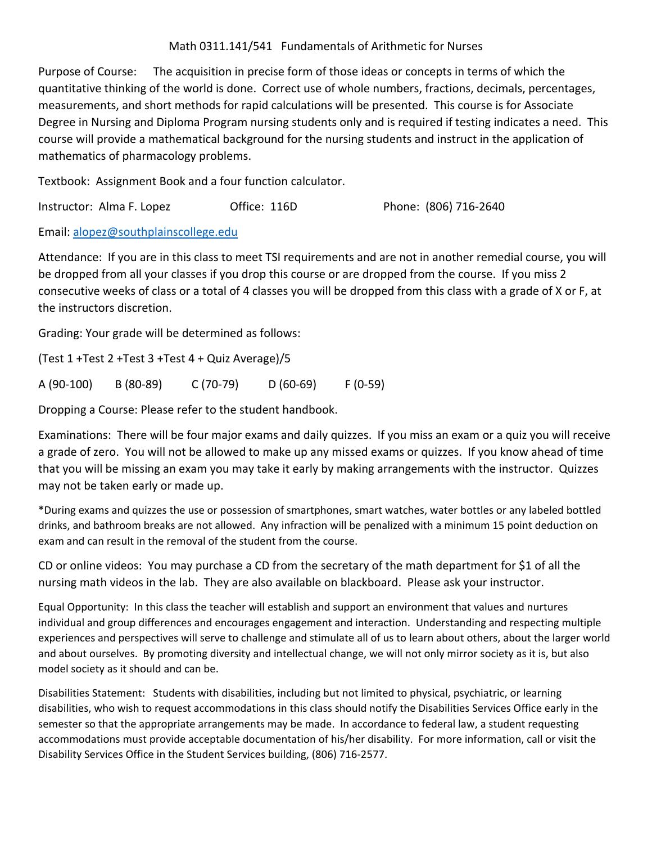## Math 0311.141/541 Fundamentals of Arithmetic for Nurses

Purpose of Course: The acquisition in precise form of those ideas or concepts in terms of which the quantitative thinking of the world is done. Correct use of whole numbers, fractions, decimals, percentages, measurements, and short methods for rapid calculations will be presented. This course is for Associate Degree in Nursing and Diploma Program nursing students only and is required if testing indicates a need. This course will provide a mathematical background for the nursing students and instruct in the application of mathematics of pharmacology problems.

Textbook: Assignment Book and a four function calculator.

Instructor: Alma F. Lopez Office: 116D Phone: (806) 716‐2640

Email: alopez@southplainscollege.edu

Attendance: If you are in this class to meet TSI requirements and are not in another remedial course, you will be dropped from all your classes if you drop this course or are dropped from the course. If you miss 2 consecutive weeks of class or a total of 4 classes you will be dropped from this class with a grade of X or F, at the instructors discretion.

Grading: Your grade will be determined as follows:

(Test 1 +Test 2 +Test 3 +Test 4 + Quiz Average)/5

A (90‐100) B (80‐89) C (70‐79) D (60‐69) F (0‐59)

Dropping a Course: Please refer to the student handbook.

Examinations: There will be four major exams and daily quizzes. If you miss an exam or a quiz you will receive a grade of zero. You will not be allowed to make up any missed exams or quizzes. If you know ahead of time that you will be missing an exam you may take it early by making arrangements with the instructor. Quizzes may not be taken early or made up.

\*During exams and quizzes the use or possession of smartphones, smart watches, water bottles or any labeled bottled drinks, and bathroom breaks are not allowed. Any infraction will be penalized with a minimum 15 point deduction on exam and can result in the removal of the student from the course.

CD or online videos: You may purchase a CD from the secretary of the math department for \$1 of all the nursing math videos in the lab. They are also available on blackboard. Please ask your instructor.

Equal Opportunity: In this class the teacher will establish and support an environment that values and nurtures individual and group differences and encourages engagement and interaction. Understanding and respecting multiple experiences and perspectives will serve to challenge and stimulate all of us to learn about others, about the larger world and about ourselves. By promoting diversity and intellectual change, we will not only mirror society as it is, but also model society as it should and can be.

Disabilities Statement: Students with disabilities, including but not limited to physical, psychiatric, or learning disabilities, who wish to request accommodations in this class should notify the Disabilities Services Office early in the semester so that the appropriate arrangements may be made. In accordance to federal law, a student requesting accommodations must provide acceptable documentation of his/her disability. For more information, call or visit the Disability Services Office in the Student Services building, (806) 716‐2577.